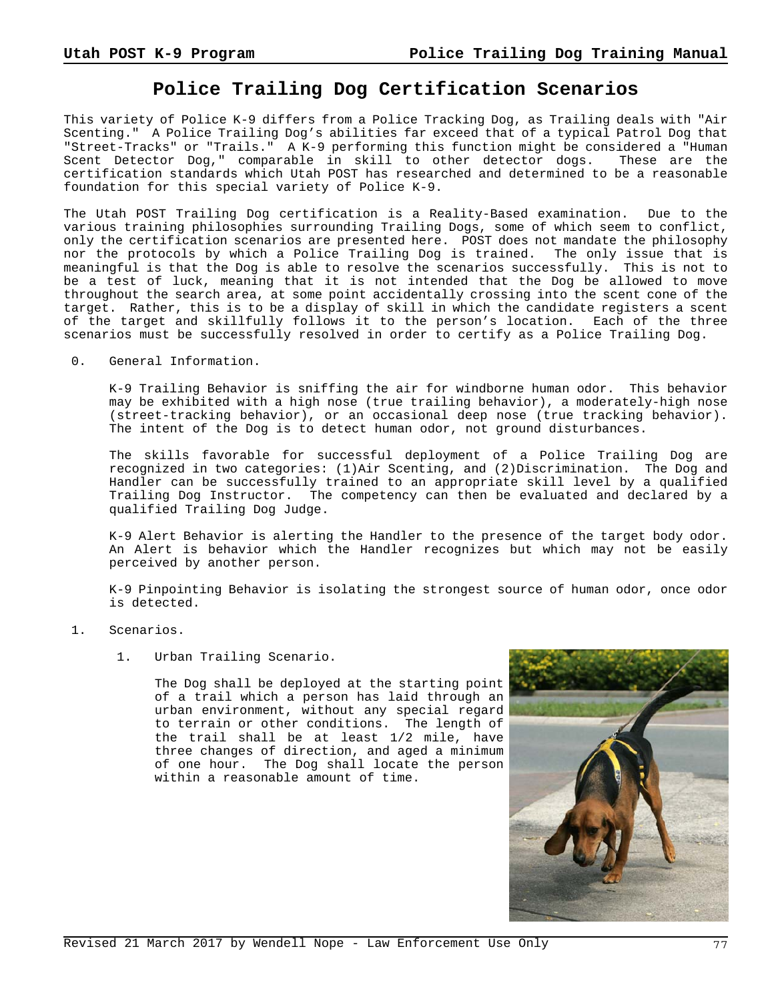## **Police Trailing Dog Certification Scenarios**

This variety of Police K-9 differs from a Police Tracking Dog, as Trailing deals with "Air Scenting." A Police Trailing Dog's abilities far exceed that of a typical Patrol Dog that "Street-Tracks" or "Trails." A K-9 performing this function might be considered a "Human Scent Detector Dog," comparable in skill to other detector dogs. These are the certification standards which Utah POST has researched and determined to be a reasonable foundation for this special variety of Police K-9.

The Utah POST Trailing Dog certification is a Reality-Based examination. Due to the various training philosophies surrounding Trailing Dogs, some of which seem to conflict, only the certification scenarios are presented here. POST does not mandate the philosophy nor the protocols by which a Police Trailing Dog is trained. The only issue that is meaningful is that the Dog is able to resolve the scenarios successfully. This is not to be a test of luck, meaning that it is not intended that the Dog be allowed to move throughout the search area, at some point accidentally crossing into the scent cone of the target. Rather, this is to be a display of skill in which the candidate registers a scent of the target and skillfully follows it to the person's location. Each of the three scenarios must be successfully resolved in order to certify as a Police Trailing Dog.

0. General Information.

K-9 Trailing Behavior is sniffing the air for windborne human odor. This behavior may be exhibited with a high nose (true trailing behavior), a moderately-high nose (street-tracking behavior), or an occasional deep nose (true tracking behavior). The intent of the Dog is to detect human odor, not ground disturbances.

The skills favorable for successful deployment of a Police Trailing Dog are recognized in two categories: (1)Air Scenting, and (2)Discrimination. The Dog and Handler can be successfully trained to an appropriate skill level by a qualified Trailing Dog Instructor. The competency can then be evaluated and declared by a qualified Trailing Dog Judge.

K-9 Alert Behavior is alerting the Handler to the presence of the target body odor. An Alert is behavior which the Handler recognizes but which may not be easily perceived by another person.

K-9 Pinpointing Behavior is isolating the strongest source of human odor, once odor is detected.

- 1. Scenarios.
	- 1. Urban Trailing Scenario.

The Dog shall be deployed at the starting point of a trail which a person has laid through an urban environment, without any special regard to terrain or other conditions. The length of the trail shall be at least 1/2 mile, have three changes of direction, and aged a minimum of one hour. The Dog shall locate the person within a reasonable amount of time.